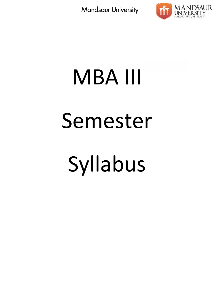

# MBA III Semester Syllabus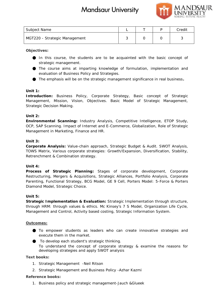

| Subject Name                  |  | Credit |
|-------------------------------|--|--------|
| MGT220 - Strategic Management |  |        |

**Objectives:**

In this course, the students are to be acquainted with the basic concept of strategic management.

The course aims at imparting knowledge of formulation, implementation and evaluation of Business Policy and Strategies.

The emphasis will be on the strategic management significance in real business**.**

## **Unit 1:**

*Introduction:* Business Policy, Corporate Strategy, Basic concept of Strategic evaluation of Business Policy and Strategies.<br>The emphasis will be on the strategic management significance in real business.<br>Unit 1:<br>Introduction: Business Policy, Corporate Strategy, Basic concept of Strategic<br>Management Strategic Decision Making.

## **Unit 2:**

*Environmental Scanning***:** Industry Analysis, Competitive Intelligence, ETOP Study, *Scanning*OCP, SAP Scanning. Impact of Internet and E-Commerce, Globalization, Role of Strategic Management in Marketing, Finance and HR.

## **Unit 3:**

*Corporate Analysis***:** Value-chain approach, Strategic Budget & Audit. SWOT Analysis, OCP, SAP Scanning. Impact of Internet and E-Commerce, Globalization, Role of Strategic<br>Management in Marketing, Finance and HR.<br>Unit 3:<br>Corporate Analysis: Value-chain approach, Strategic Budget & Audit. SWOT Analysis,<br>TOW Retrenchment & Combination strategy.

## **Unit 4:**

Process of Strategic Planning: Stages of corporate development, Corporate Restructuring, Mergers & Acquisitions, Strategic Alliances, Portfolio Analysis, Corporate Parenting, Functional Strategy, BCG Model, GE 9 Cell, Porters Model: 5-Force & Porters Diamond Model, Strategic Choice.

## **Unit 5:**

*Strategic Implementation & Evaluation***:** Strategic Implementation through structure, through HRM: through values & ethics. Mc Kinsey's 7 S Model, Organization Life Cycle, Management and Control, Activity based costing, Strategic Information System. turing, Mergers & Acquisitions, Strategic Alliances, Portfolio Analysis, Corporate<br>g, Functional Strategic Choice.<br>Model, Strategic Choice.<br>ic Implementation & Evaluation: Strategic Implementation through structure,<br>HRM: t

## **Outcomes:**

To empower students as leaders who can create innovative strategies and execute them in the market.

To develop each student's strategic thinking.

To understand the concept of corporate strategy & examine the reasons for developing strategies and apply SWOT analysis

**Text books: books:**

- 1. Strategic Management -Neil Ritson
- 2. Strategic Management and Business Policy -Azhar Kazmi

## **Reference books:**

1. Business policy and strategic management-Jauch &Glueek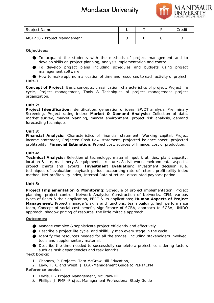

| Subject Name                |  | Credit |
|-----------------------------|--|--------|
| MGT230 - Project Management |  |        |

## **Objectives:**

To acquaint the students with the methods of project management and to develop skills on project planning, analysis implementation and control. To acquaint the students with the methods of project management and to<br>develop\_skills\_on\_project\_planning, analysis\_implementation\_and\_control.<br>To develop\_project\_plans\_including\_schedules\_and\_budgets\_using\_project\_\_\_\_\_\_\_\_

management software

How to make optimum allocation of time and resources to each activity of project **Unit-1**

*Concept of Project:* Basic concepts, classification, characteristics of project, Project life *Concept of* cycle, Project management, Tools & Techniques of project management project management organization.

## **Unit 2:**

*Project Identification***:** Identification, generation of ideas, SWOT analysis, Preliminary ideas, Screening, Project rating index; *Market & Demand Analysis:* Collection of data, Screening, Project rating index; Market & Demand Analysis: Collection of data,<br>market survey, market planning, market environment, project risk analysis, demand forecasting techniques.

## **Unit 3:**

*Financial Analysis***:** Characteristics of financial statement, Working capital, Project Financial Analysis: Characteristics of financial statement, Working capital, Project<br>income statement, Projected Cash flow statement, projected balance sheet, projected profitability; *Financial Estimation***:** Project cost, sources of finance, cost of production.

## **Unit 4:**

*Technical Analysis***:** Selection of technology, material input & utilities, plant capacity, *Analysis*input location & site, machinery & equipment, structures & civil work, environmental aspects, location & site, machinery & equipment, structures & civil work, environmental aspects,<br>project charts and layouts; Investment Evaluation: Investment decision rule, techniques of evaluation, payback period, accounting rate of return, profitability index method, Net profitability index, Internal Rate of return, discounted payback period.

## **Unit 5:**

*Project Implementation & Monitoring***:** Schedule of project implementation, Project planning, project control. Network Analysis: Construction of Networks, CPM, various types of floats & their application, PERT & its applications; *Human Aspects of Project Management***:** Project manager's skills and functions, team building, high performance team, Concept of social cost benefit, significance of SCBA, approach to SCBA, UNIDO approach, shadow pricing of resource, the little miracle approach ques of evaluation, payback period, accounting rate of return, profitability<br>d, Net profitability index, Internal Rate of return, discounted payback period.<br>...<br>...<br>t Implementation & Monitoring: Schedule of project implem ement: Project manager's skills and functions, team building, high performance<br>Concept of social cost benefit, significance of SCBA, approach to SCBA, UNIDO<br>ch, shadow pricing of resource, the little miracle approach<br>mes:<br> me<br>
Project Management<br>
Somewheat the students with the methods of project management and to<br>
sequente the students with the methods of project management and to<br>
does skills on project planes including simplarisemination

## **Outcomes:**

Manage complex & sophisticate project efficiently and effectively.

Describe a project life cycle, and skillfully map every stage in the cycle.

Identify the resources needed for all the stages, including stakeholders involved, tools and supplementary material.

Describe the time needed to successfully complete a project, considering factors Describe the time needed to successfully comple<br>such as task dependencies and task lengths.

**Text books: books:**

1. Chandra, P. Projects, Tata McGraw-Hill Education,

2. Levy, F. K. and Wiest, J. D.A -Management Guide to PERT/CPM **Reference books:**

- 1. Lewis, R.- Project Management, McGraw-Hill,
- 2. Phillips, J. PMP -Project Management Professional Study Guide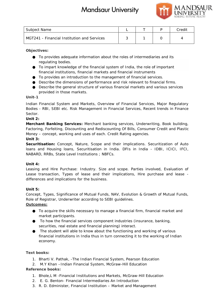

| Subject Name                                |  | Credit |
|---------------------------------------------|--|--------|
| MGT241 - Financial Institution and Services |  |        |

**Objectives:**

To provides adequate information about the roles of intermediaries and its regulating bodies.

To impart knowledge of the financial system of India, the role of important financial institutions, financial markets and financial instruments

To provides an introduction to the management of financial services.

Describe the dimensions of performance and risk relevant to financial firms.

Describe the general structure of various financial markets and various services provided in those markets.

## **Unit-1**

Indian Financial System and Markets, Overview of Financial Services, Major Regulatory Bodies - RBI, SEBI etc. Risk Management in Financial Services, Recent trends in Finance Sector. Describe the dimensions of performance and risk relevant to financial firms.<br>Describe the general structure of various financial markets and various services<br>provided in those markets.<br>Financial System and Markets, Overvie

**Unit 2:**

*Merchant Banking Services***:** Merchant banking services, Underwriting, Book building, Factoring, Forfeiting, Discounting and Rediscounting Of Bills, Consumer Credit and Plastic Money – concept, working and uses of each. Credit Rating agencies. **Unit 3:** mo<br>
Thomazial Institution and Services<br>
Somewhete, and the coles of intermediaries and its<br>
susting books<br>
susting the financial system of India, the role of important<br>
Institutions, financial institutions of performancial

Securitisation: Concept, Nature, Scope and their implications. Securitization of Auto loans and Housing loans, Securitisation in India. DFIs in India - IDBI, ICICI, IFCI, NABARD, RRBs, State Level Institutions ; NBFCs. 

## **Unit 4:**

Leasing and Hire Purchase: Industry. Size and scope. Parties involved, Evaluation of Leasing and Hire Purchase: Industry. Size and scope. Parties involved, Evaluation of<br>Lease transaction, Types of lease and their implications, Hire purchase and lease differences and implications for the business.

**Unit 5:**

Concept, Types, Significance of Mutual Funds, NAV, Evolution & Growth of Mutual Funds, Role of Registrar, Underwriter according to SEBI guidelines.

**Outcomes:**

To acquire the skills necessary to manage a financial firm, financial market and market participants.

To how the financial services component industries (insurance, banking, securities, real estate and financial planning) interact.

The student will able to know about the functioning and working of various financial institutions in India thus in turn connecting it to the working of Indian economy. implications for the business.<br>
For Types, Significance of Mutual Funds, NAV, Evolution & Growth of Mutual Fundegistrar, Underwriter according to SEBI guidelines.<br>
To acquire the skills necessary to manage a financial firm

**Text books: books:**

- 1. Bharti V. Pathak, -The Indian Financial System, Pearson Education
- 2. M.Y Khan –Indian Financial System, McGraw-Hill Education

- 1. Bhole,L M -Financial Institutions and Markets, McGraw-Hill Education
- 2. E. G. Benton- Financial Intermediaries An Introduction E.
- 3. R. D. Edminister, Financial Institution Market and Management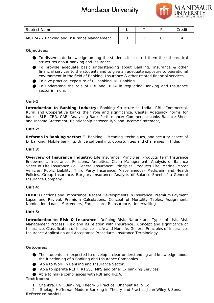

| Subject Name                              |  | Credit |
|-------------------------------------------|--|--------|
| MGT242 - Banking and Insurance Management |  |        |

**Objectives:**

To disseminate knowledge among the students inculcate I them their theoretical<br>structures about banking and insurance. structures about banking and insurance.

To provide adequate basic understanding about Banking, Insurance & other financial services to the students and to give an adequate exposure to operational environment in the field of Banking, Insurance & other related financial services. financial services to the students and to give an adequate exposure to operational<br>environment in the field of Banking, Insurance & other related financial services.<br>To give practical exposure of E- banking, M- Banking<br>To

To give practical exposure of E- banking, M- Banking

sector in India.

## **Unit-1**

*Introduction to Banking Industry***:** Banking Structure in India- RBI, Commercial, Rural and Cooperative banks their role and significance, Capital Adequacy norms for Introduction to Banking Industry: Banking Structure in India- RBI, Commercial,<br>Rural and Cooperative banks their role and significance, Capital Adequacy norms for<br>banks, SLR, CRR, CAR. Analyzing Bank Performance: Commercia and Income Statement, Relationship between B/S and Income Statement,

## **Unit 2:**

**Reforms in Banking sector:** E- Banking – Meaning, techniques, and security aspect of E- banking, Mobile banking, Universal banking, opportunities and challenges in India.

## **Unit 3:**

*Overview of Insurance Industry***:** Life Insurance: Principles, Products Term Insurance Endowment, Insurance, Pensions, Annuities, Claim Management, Analysis of Balance Sheet of Life Insurance Co. General Insurance: Principles, Products Fire, Marine, Motor Vehicles, Public Liability, Third Party Insurance, Miscellaneous- Mediclaim and Health Policies, Group Insurance, Burglary Insurance, Analysis of Balance Sheet of a General Insurance Company. Reforms in Banking sector: E- Banking – Meaning, techniques, and security and E- banking, Mobile banking, Universal banking, opportunities and challenges in In<br>Unit 3:<br>Overview of Insurance Industry: Life Insurance: Princi Name<br>
Shelb Considers the matrice of the matrix of the matrix of the matrix of the matrix of the matrix<br>
Shelb Considers the matrix of the students in the matrix of the matrix<br>
Theory and the student and Insurance as the m

## **Unit 4:**

*IRDA***:** Functions and Importance, Recent Developments in Insurance. Premium Payment Lapse and Revival, Premium Calculations, Concept of Mortality Tables, Assignment, Nomination, Loans, Surrenders, Foreclosure, Reinsurance, Underwriting.

## *Unit 5:*

*Introduction to Risk & Insurance*: Defining Risk, Nature and Types of risk, Risk Introduction to Risk & Insurance: Defining Risk, Nature and Types of risk, Risk<br>Management Process, Risk and its relation with Insurance., Concept and significance of Insurance, Classification of Insurance – Life and Non life, General Principles of Insurance, Insurance Application and Acceptance Procedure, Insurance Terminology

## **Outcomes:**

The students are expected to develop a clear understanding and knowledge about the functioning of a Banking and Insurance Companies. The students are expected to develop a clea<br>he functioning of a Banking and Insurance<br>Able to Work in Banking and Insurance Sec<br>Able to operate NEFT, RTGS, IMPS and oth<br>Able to make compliances with RBI and IRD

Able to Work in Banking and Insurance Sector

Able to operate NEFT, RTGS, IMPS and other E- banking Services

Able to make compliances with RBI and IRDA.

**Text books: books:**

1. Chabbra.T.N.; Banking, Theory & Practice; Dhanpat Rai & Co

2. Shelagh Heffernan Modern Banking in Theory and Practice John Wiley & Sons. **Reference books:**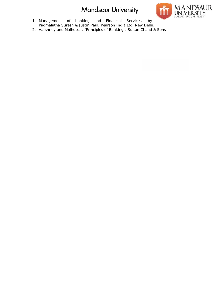

- 1. Management of banking and Financial Services, by Padmalatha Suresh & Justin Paul, Pearson India Ltd, New Delhi.
- 2. Varshney and Malhotra, "Principles of Banking", Sultan Chand & Sons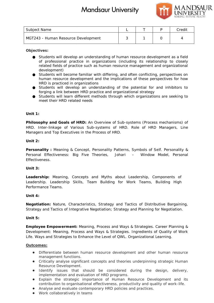

| Subject Name                        |  | Credit |
|-------------------------------------|--|--------|
| MGT243 - Human Resource Development |  |        |

**Objectives:**

Students will develop an understanding of human resource development as a field of professional practice in organizations (including its relationship to closely related fields of practice such as human resource management and organizational development) Students will develop an understanding of human resource development as a field<br>of professional practice in organizations (including its relationship to closely<br>related fields of practice such as human resource ma it Name<br>
in the main Resource Development and the main resource development as a field<br>
students will develop an understanding of human resource development as a field<br>
students will develop an understanding of human resou

Students will become familiar with differing, and often conflicting, perspectives on human resource development and the implications of these perspectives for how HRD is practiced in organizations development)<br>Students will become familiar with differing, and often conflicting, perspective<br>human resource development and the implications of these perspectives for<br>HRD is practiced in organizations<br>Students will develo

Students will develop an understanding of the potential for and inhibitors to forging a link between HRD practice and organizational strategy

Students will learn different methods through which organizations are seeking to meet their HRD related needs

**Unit 1:**

**Philosophy and Goals of HRD:** An Overview of Sub-systems (Process mechanisms) of HRD. Inter-linkage of Various Sub-systems of HRD. Role of HRD Managers, Line Managers and Top Executives in the Process of HRD.

**Unit 2:**

**Personality :** Meaning & Concept, Personality Patterns, Symbols of Self. Personality & Personal Effectiveness: Big Five Theories, Johari – Window Model, Personal Effectiveness. and Goals of HRD: An Overview of Sub-systems (Process mechanisms) of<br>inkage of Various Sub-systems of HRD. Role of HRD Managers, Line<br>d Top Executives in the Process of HRD.<br><br>: Meaning & Concept, Personality Patterns, Symb

**Unit 3:**

**Leadership:** Meaning, Concepts and Myths about Leadership, Components of Leadership. Leadership Skills, Team Building for Work Teams, Building High Performance Teams.

## **Unit 4:**

Negotiation: Nature, Characteristics, Strategy and Tactics of Distributive Bargaining, Strategy and Tactics of Integrative Negotiation; Strategy and Planning for Negotiation.

**Unit 5:**

**Employee Empowerment:** Meaning, Process and Ways & Strategies. Career Planning & Development: Meaning, Process and Ways & Strategies. Ingredients of Quality of Work Life. Ways and Strategies to Enhance the Level of QWL. Organizational Learning. Strategy and Tactics of Integrative Negotiation; Strategy and Planning for Negotiation.<br>
Unit 5:<br>
Employee Empowerment: Meaning, Process and Ways & Strategies. Career Planning &<br>
Development: Meaning, Process and Ways & St

**Outcomes:**

Differentiate between human resource development and other human resource management functions.

Critically analyse significant concepts and theories underpinning strategic Human Resource Development.

Identify issues that should be considered during the design, delivery, implementation and evaluation of HRD programs.

Explain the strategic importance of Human Resource Development and its contribution to organisational effectiveness, productivity and quality of work-life. Analyse and evaluate contemporary HRD policies and practices.

Work collaboratively in teams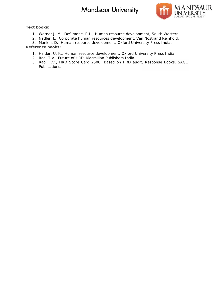

**Text books: books:**

- 1. Werner J. M., DeSimone, R.L., Human resource development, South Western.
- 2. Nadler, L., Corporate human resources development, Van Nostrand Reinhold.
- 3. Mankin, D., Human resource development, Oxford University Press India.

- 1. Haldar, U. K., Human resource development, Oxford University Press India.
- 2. Rao, T.V., Future of HRD, Macmillan Publishers India.
- 3. Rao, T.V., HRD Score Card 2500: Based on HRD audit, Response Books, SAGE Publications.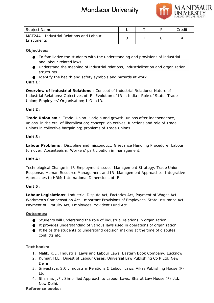

| Subject Name                                           |  | Credit |
|--------------------------------------------------------|--|--------|
| MGT244 - Industrial Relations and Labour<br>Enactments |  |        |

**Objectives:**

To familiarize the students with the understanding and provisions of industrial and labour related laws.

Understand the meaning of industrial relations, industrialization and organization structures. tudents with the understanding and provisions of<br>laws.<br>aning of industrial relations, industrialization and<br>and safety symbols and hazards at work.

Identify the health and safety symbols and hazards at work.

## **Unit 1 :**

*Overview of Industrial Relations* : Concept of Industrial Relations; Nature of Industrial Relations; Objectives of IR; Evolution of IR in India ; Role of State; Trade Union; Employers' Organisation; ILO in IR. <sup>,</sup> of Industrial Relations : Concept of Industrial Relations; Nature of<br>Relations; Objectives of IR; Evolution of IR in India ; Role of State; Tr<br><sub>I</sub>ployers' Organisation; ILO in IR.

## **Unit 2 :**

*Trade Unionism* : Trade Union : origin and growth, unions after independence, unions in the era of liberalization; concept, objectives, functions and role of Trade Unions in collective bargaining; problems of Trade Unions. Trade Unionism : Trade Union : origin and growth, unions<br>unions in the era of liberalization; concept, objectives, functio<br>Unions in collective bargaining; problems of Trade Unions.

## **Unit 3 :**

*Labour Problems* : Discipline and misconduct; Grievance Handling Procedure; Labour turnover; Absenteeism; Workers' participation in management.

## **Unit 4 :**

Technological Change in IR-Employment issues, Management Strategy, Trade Union Technological Change in IR-Employment issues, Management Strategy, Trade Union<br>Response, Human Resource Management and IR- Management Approaches, Integrative Approaches to HRM; International Dimensions of IR.

## **Unit 5 :**

*Labour Legislations*: Industrial Dispute Act, Factories Act, Payment of Wages Act, Workmen's Compensation Act. Important Provisions of Employees' State Insurance Act, Payment of Gratuity Act, Employees Provident Fund Act.

## **Outcomes:**

Students will understand the role of industrial relations in organization. It provides understanding of various laws used in operations of organization. It helps the students to understand decision making at the time of disputes, conflicts etc. Factories Act, Payment of Wages Act, en's Compensation Act. Important Provisions of Employees' State Insurance Act, the of Gratuity Act, Employees Provident Fund Act.<br>The of Gratuity Act, Employees Provident Fund Act.<br>The Ltd.,Credit

## **Text books: books:**

- 1. Malik, K.L., Industrial Laws and Labour Laws, Eastern Book Company, Lucknow. Book
- 2. Kumar, H.L., Digest of Labour Cases, Universal Law Publishing Co P Ltd, New Delhi
- 3. Srivastava, S.C., Industrial Relations & Labour Laws, Vikas Publishing House (P) Ltd.
- 4. Sharma, J.P., Simplified Approach to Labour Laws, Bharat Law House (P) Ltd., New Delhi.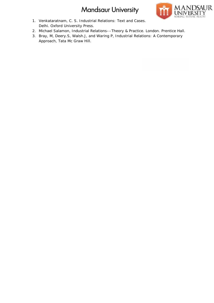

- 1. Venkataratnam, C. S. Industrial Relations: Text and Cases. Delhi. Oxford University Press.
- 2. Michael Salamon, Industrial Relations––Theory & Practice. London. Prentice Hall.
- 3. Bray, M, Deery.S, Walsh.J, and Waring P, Industrial Relations: A Contemporary Approach, Tata Mc Graw Hill.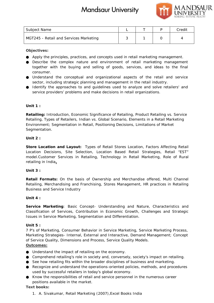

| Subject Name                           |  | Credit |
|----------------------------------------|--|--------|
| MGT245 - Retail and Services Marketing |  |        |

**Objectives:**

Apply the principles, practices, and concepts used in retail marketing management.

Describe the complex nature and environment of retail marketing management together with the buying and selling of goods, services, and ideas to the final consumer. Describe the complex nature and environment of retail marketing management<br>together with the buying and selling of goods, services, and ideas to the final<br>consumer.<br>Understand the conceptual and organizational aspects of t

Understand the conceptual and organizational aspects of the retail and service sector, including strategic planning and management in the retail industry.

service providers' problems and make decisions in retail organizations.

## **Unit 1 :**

*Retailing:* Introduction, Economic Significance of Retailing, Product Retailing vs. Service Retailing: Introduction, Economic Significance of Retailing, Product Retailing vs. Service<br>Retailing, Types of Retailers, Indian vs. Global Scenario, Elements in a Retail Marketing Environment; Segmentation in Retail, Positioning Decisions, Limitations of Market Decisions, Limitations MarketSegmentation.

## **Unit 2 :**

*Store Location and Layout:* Types of Retail Stores Location, Factors Affecting Retail *Store and* Stores Retail Location Decisions, Site Selection, Location Based Retail Strategies, Retail "EST" model.Customer Services in Retailing, Technology in Retail Marketing, Role of Rural retailing in India**.** Location Decisions, Site Selection, Location Based Retail Strategies, Retail "EST"<br>model.Customer Services in Retailing, Technology in Retail Marketing, Role of Rural<br>retailing in India<u>.</u> me<br>
The Unitarity and Services Marketing<br>
Eventionism and Services and concepts used in retail marketing management.<br>
The perinciples, practices, and concepts used in retail marketing management.<br>
The memples natural and e

**Unit 3 :**

*Retail Formats:* On the basis of Ownership and Merchandise offered, Multi Channel Retail Formats: On the basis of Ownership and Merchandise offered, Multi Channel<br>Retailing, Merchandising and Franchising, Stores Management, HR practices in Retailing Business and Service Industry

**Unit 4 :**

*Service Marketing*: Basic Concept- Understanding and Nature, Characteristics and Classification of Services, Contribution in Economic Growth, Challenges and Strategic Issues in Service Marketing, Segmentation and Differentiation. Service Marketing: Basic Concept- Understanding and Nature, Characteristics and<br>Classification of Services, Contribution in Economic Growth, Challenges and Strategic<br>Issues in Service Marketing, Segmentation and Differenti

**Unit 5 :**

7 P's of Marketing, Consumer Behavior in Service Marketing, Service Marketing Process, Marketing Strategies- Internal, External and Interactive, Demand Management; Concept of Service Quality, Dimensions and Process, Service Quality Models. P's of Marketing, Consumer Behavior in Service Marketing, Service Marketing Process,<br>arketing Strategies-Internal, External and Interactive, Demand Management; Concept<br>Service Quality, Dimensions and Process, Service Quali

**Outcomes:**

Understand the impact of retailing on the economy.

See how retailing fits within the broader disciplines of business and marketing. Recognize and understand the operations-oriented policies, methods, and procedures Recognize and understand the operations-oriented policies, methods, and procedures<br>used by successful retailers in today's global economy.<br>Know the responsibilities of retail and service personnel in the numerous career

used by successful retailers in today's global economy.

positions available in the market.

## **Text books: books:**

1. A. Sivakumar, Retail Marketing (2007),Excel Books India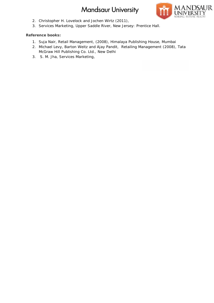

- 2. Christopher H. Lovelock and Jochen Wirtz (2011),
- 3. Services Marketing, Upper Saddle River, New Jersey: Prentice Hall.

- 1. Suja Nair, *Retail Management,* (2008), Himalaya Publishing House, Mumbai Himalaya Publishing Mumbai
- 2. Michael Levy, Barton Weitz and Ajay Pandit, *Retailing Management* (2008), Tata *Retailing*  McGraw Hill Publishing Co. Ltd., New Delhi
- 3. S. M. Jha, Services Marketing,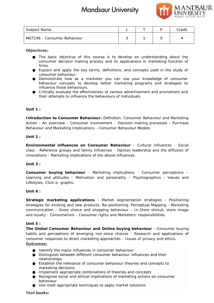

| Subject Name                |  | Credit |
|-----------------------------|--|--------|
| MGT246 - Consumer Behaviour |  |        |

**Objectives:**

The basic objective of this course is to develop an understanding about the consumer decision making process and its applications in marketing function of firms.

Explain and apply the key terms, definitions, and concepts used in the study of consumer behaviour.

Demonstrate how as a marketer you can use your knowledge of consumer behaviour concepts to develop better marketing programs and strategies to influence those behaviours. consumer decision making process and its applications in<br>firms.<br>Explain and apply the key terms, definitions, and concepts<br>consumer behaviour.<br>Demonstrate how as a marketer you can use your kno<br>behaviour concepts to develo

Critically evaluate the effectiveness of various advertisement and promotions and their attempts to influence the behaviours of individuals.

## **Unit 1 :**

*Introduction to Consumer Behaviour:* Definition, Consumer Behaviour and Marketing *to* Action - An overview - Consumer involvement - Decision-making processes - Purchase Behaviour and Marketing Implications - Consumer Behaviour Models

**Unit 2 :**

*Environmental influences on Consumer Behaviour* - Cultural influences - Social class - Reference groups and family influences - Opinion leadership and the diffusion of class - Reference groups and family influences - Opinion leaders<br>innovations - Marketing implications of the above influences.

**Unit 3 :**

*Consumer buying behaviour* - Marketing implications - Consumer perceptions – Consumer buying behaviour - Marketing implications - Consumer perceptions –<br>Learning and attitudes - Motivation and personality – Psychographics - Values and Lifestyles, Click-o- graphic.

**Unit 4 :**

*Strategic marketing applications* - Market segmentation strategies - Positioning strategies for existing and new products, Re-positioning, Perceptual Mapping - Marketing communication - Store choice and shopping behaviour - In-Store stimuli, store image<br>and loyalty - Consumerism - Consumer rights and Marketers' responsibilities. and loyalty - Consumerism - Consumer rights and Marketers' responsibilities.

**Unit 5 :**

*The Global Consumer Behaviour and Online buying behaviour* - Consumer buying *and Onlinebuying behaviour*habits and perceptions of emerging non-store choices - Research and applications of consumer responses to direct marketing approaches - Issues of privacy and ethics. **Outcomes:** habits and perceptions of emerging non-store choices - Research and<br>consumer responses to direct marketing approaches - Issues of privacy an<br>Outcomes:<br>Identify the major influences in consumer behaviour

Identify the major influences in consumer behaviour Distinguish between different consumer behaviour influences and their relationships Establish the relevance of consumer behaviour theories and concepts to marketing decisions Implement appropriate combinations of theories and concepts Recognise social and ethical implications of marketing actions on consumer behaviour Use most appropriate techniques to apply market solutions **books:**<br> **books:**<br> **books:**<br> **books:**<br> **books:**<br> **books:**<br> **books:**<br> **books:**<br> **books:**<br> **credit Consumer and rights consumer and its applications in marketing function consumer<br>
<b>Ermina** and angly the key terms, definiti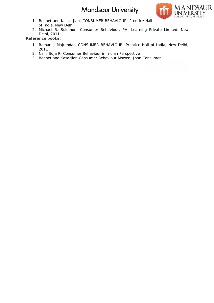

- 1. Bennet and Kassarjian, CONSUMER BEHAVIOUR, Prentice Hall of India, New Delhi
- 2. Michael R. Solomon, Consumer Behaviour, PHI Learning Private Limited, New Delhi, 2011 1. Ramanuj Majumdar, CONSUMER BEHAVIOUR, Prentice Hall of India, New Delhi, New Delhi,

- 2011
- 2. Nair, Suja R, *Consumer Behaviour in Indian Perspective*
- 3. Bennet and Kasarjian *Consumer Behaviour* Mowen, John *Consumer Consumer Consumer*